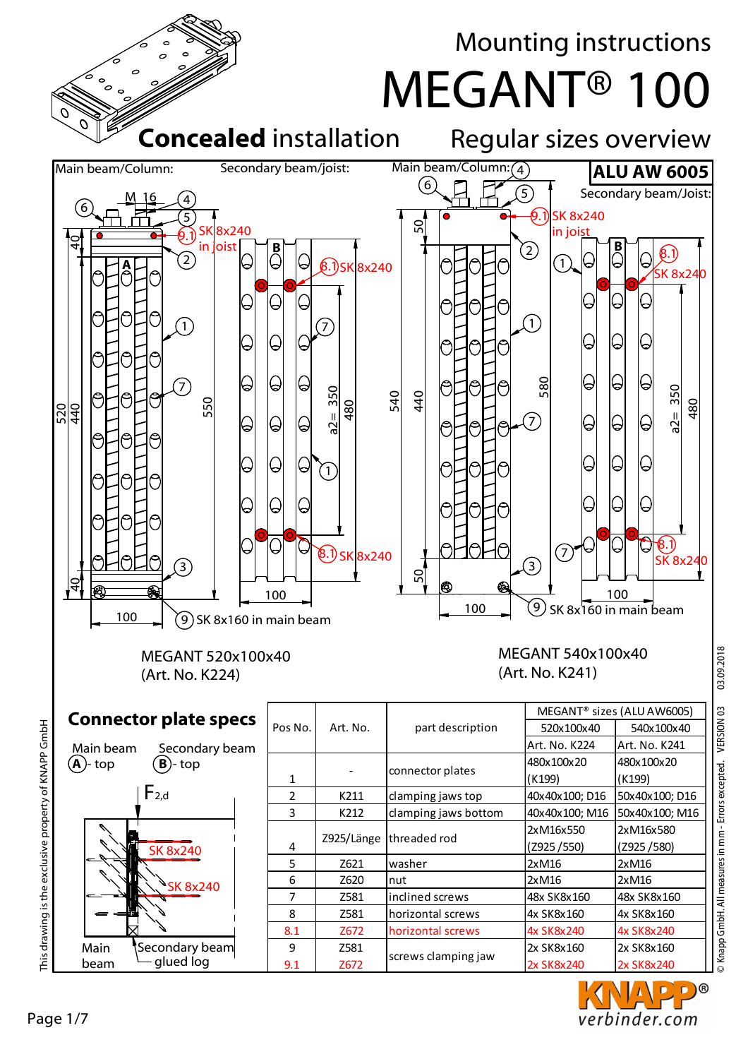

D)® verbinder.com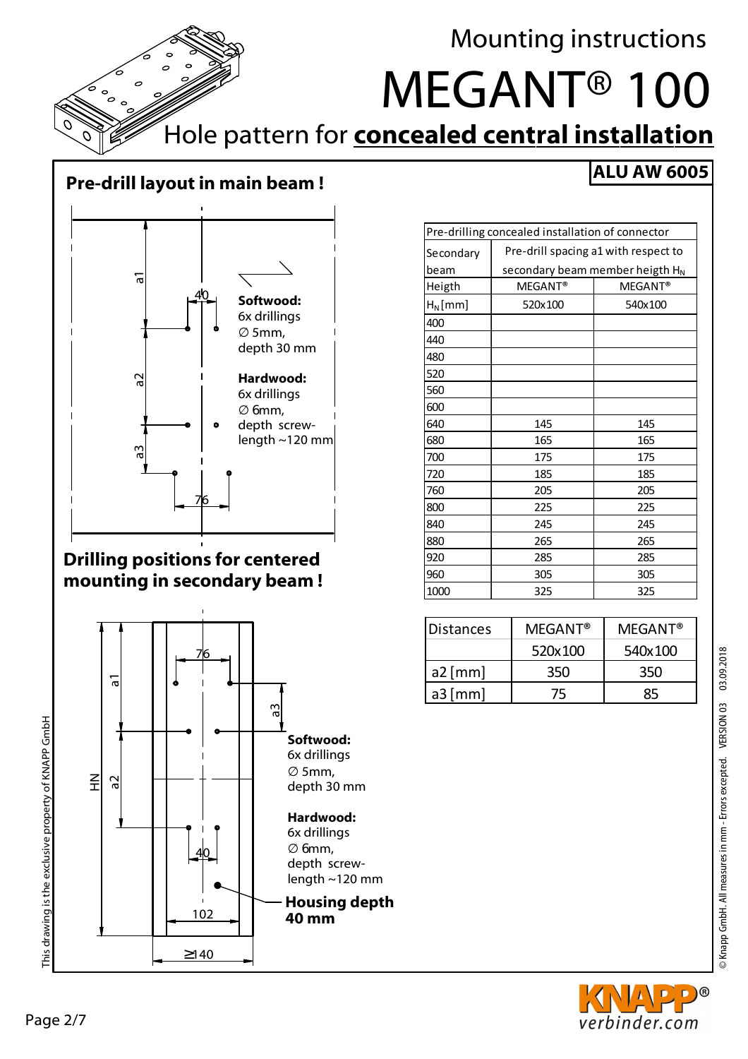

### **Pre-drill layout in main beam !**



#### **Drilling positions for centered mounting in secondary beam !**



| Pre-drilling concealed installation of connector |                                             |                |
|--------------------------------------------------|---------------------------------------------|----------------|
| Secondary                                        | Pre-drill spacing a1 with respect to        |                |
| beam                                             | secondary beam member heigth H <sub>N</sub> |                |
| Heigth                                           | <b>MEGANT®</b>                              | <b>MEGANT®</b> |
| $H_N$ [mm]                                       | 520x100                                     | 540x100        |
| 400                                              |                                             |                |
| 440                                              |                                             |                |
| 480                                              |                                             |                |
| 520                                              |                                             |                |
| 560                                              |                                             |                |
| 600                                              |                                             |                |
| 640                                              | 145                                         | 145            |
| 680                                              | 165                                         | 165            |
| 700                                              | 175                                         | 175            |
| 720                                              | 185                                         | 185            |
| 760                                              | 205                                         | 205            |
| 800                                              | 225                                         | 225            |
| 840                                              | 245                                         | 245            |
| 880                                              | 265                                         | 265            |
| 920                                              | 285                                         | 285            |
| 960                                              | 305                                         | 305            |
| 1000                                             | 325                                         | 325            |

| <b>IDistances</b> | <b>MEGANT®</b> | $MFGANT^@$ |
|-------------------|----------------|------------|
|                   | 520x100        | 540x100    |
| $a2$ [mm]         | 350            | 350        |
| $a3$ [mm]         |                |            |

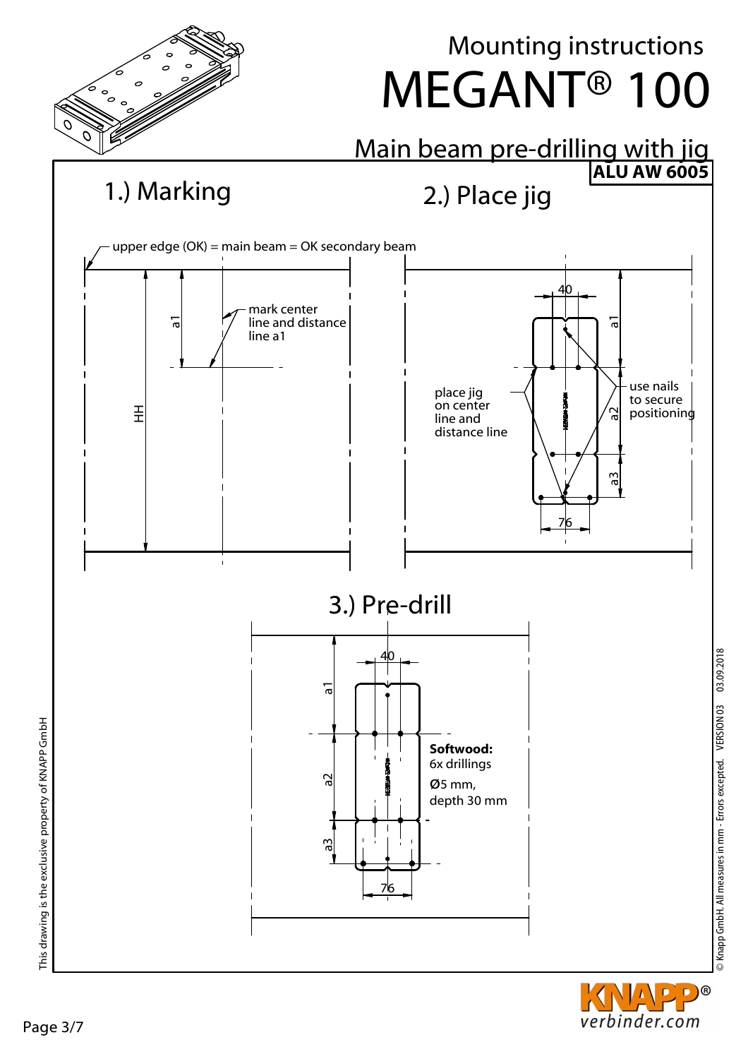

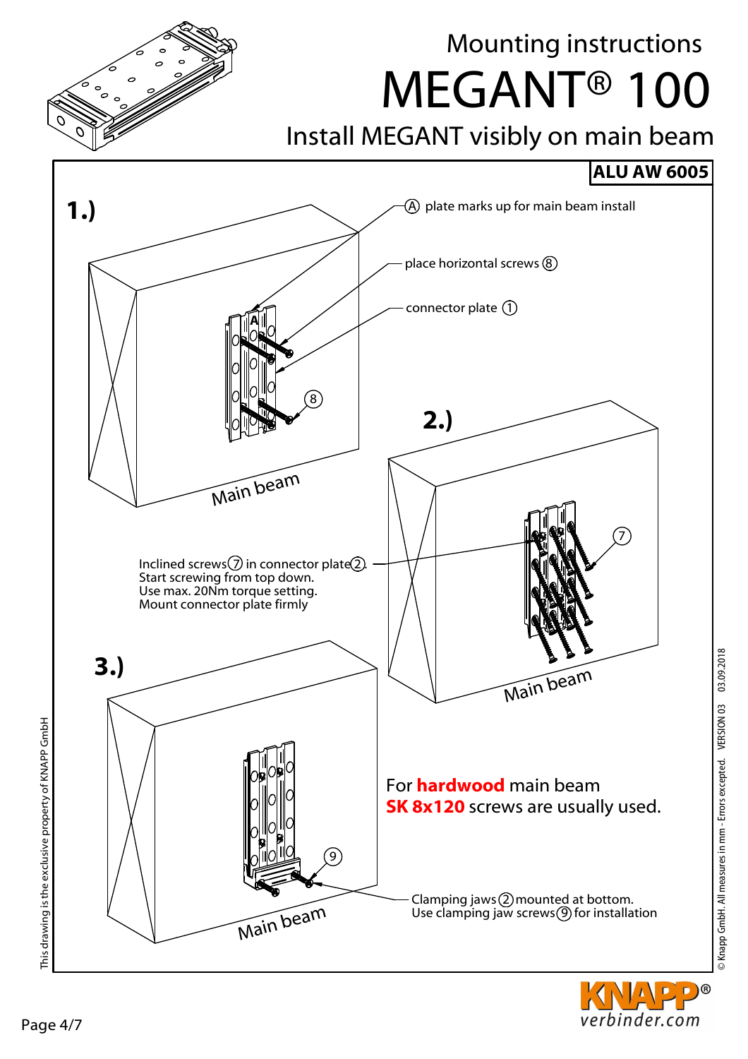

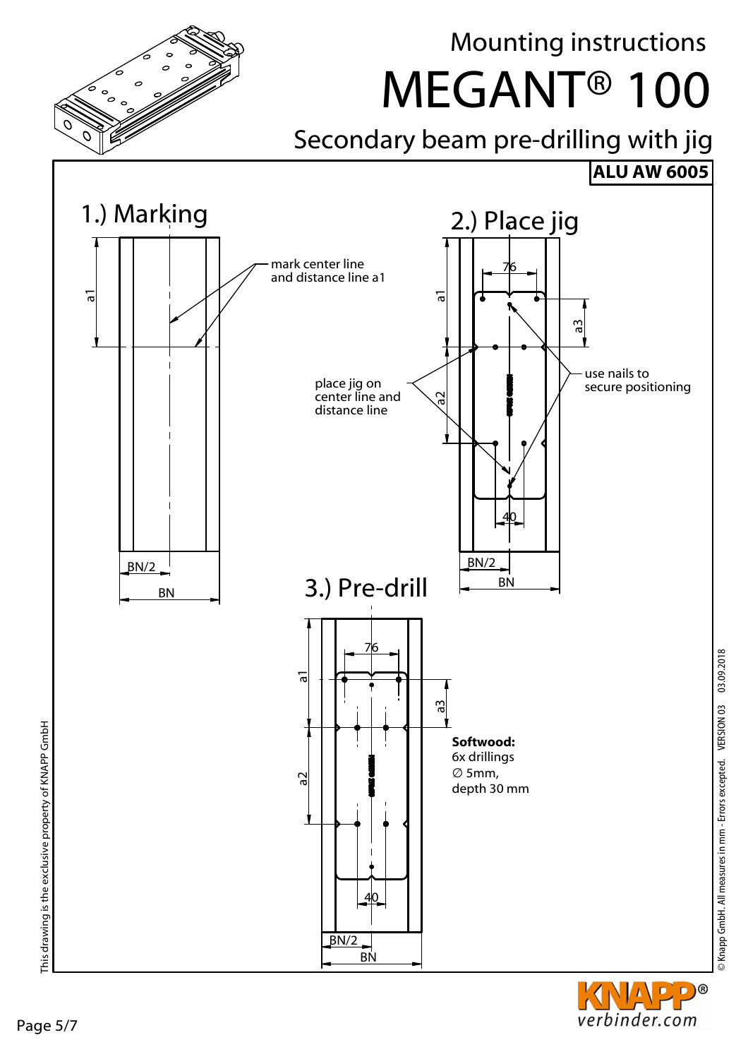



© Knapp GmbH. All measures in mm - Errors excepted. VERSION 03 03.09.2018

© Knapp GmbH. All measures in mm - Errors excepted. VERSION 03 03.09.2018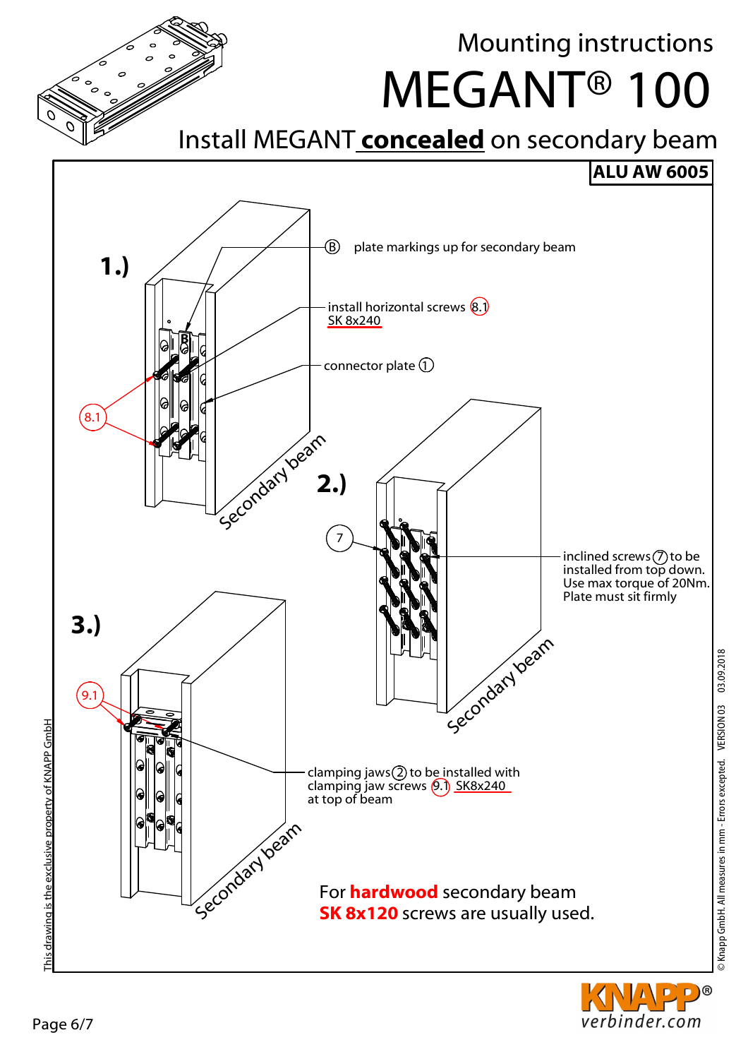D)®

verbinder.com

# Mounting instructions

MEGANT® 100

## Install MEGANT **concealed** on secondary beam

## **ALU AW 6005**